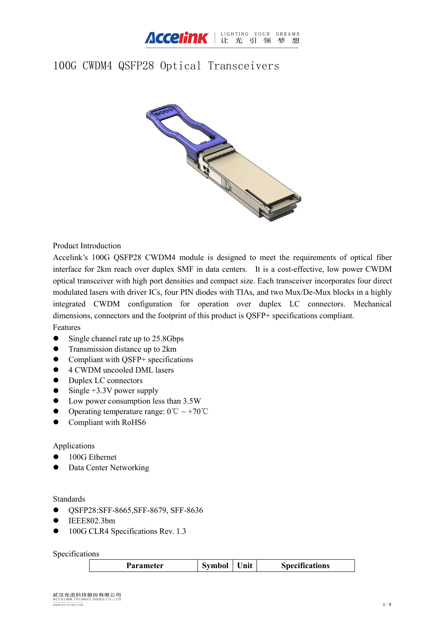

# 100G CWDM4 QSFP28 Optical Transceivers



Product Introduction

Accelink's 100G QSFP28 CWDM4 module is designed to meet the requirements of optical fiber interface for 2km reach over duplex SMF in data centers. It is a cost-effective, low power CWDM optical transceiver with high port densities and compact size. Each transceiver incorporates four direct modulated lasers with driver ICs, four PIN diodes with TIAs, and two Mux/De-Mux blocks in a highly integrated CWDM configuration for operation over duplex LC connectors. Mechanical dimensions, connectors and the footprint of this product is QSFP+ specifications compliant.

#### Features

- $\bullet$  Single channel rate up to 25.8Gbps
- Transmission distance up to 2km
- Compliant with QSFP+ specifications
- 4 CWDM uncooled DML lasers
- Duplex LC connectors
- $\bullet$  Single +3.3V power supply
- Low power consumption less than 3.5W
- Operating temperature range:  $0^{\circ}C \sim +70^{\circ}C$
- Compliant with RoHS6

#### Applications

- 100G Ethernet
- Data Center Networking

#### Standards

- QSFP28:SFF-8665,SFF-8679, SFF-8636
- $\bullet$  IEEE802.3bm
- 100G CLR4 Specifications Rev. 1.3

Specifications

| .eter | vmbol<br>.<br>. . | nit | specifications |
|-------|-------------------|-----|----------------|
|       |                   |     |                |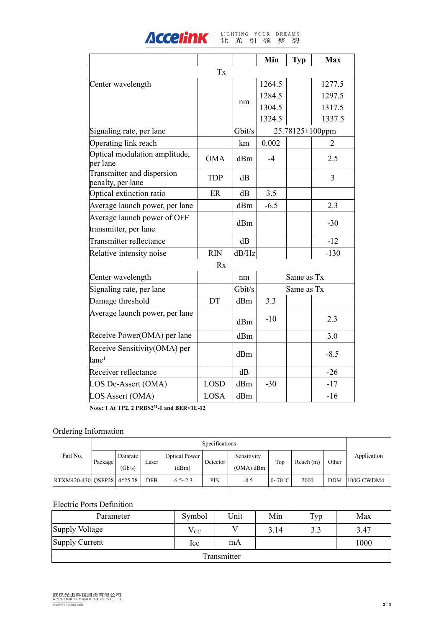| <b>ACCEIINK</b>   LIGHTING YOUR DREAMS |  |  |  |  |
|----------------------------------------|--|--|--|--|

|                                                   |             |        | Min    | <b>Typ</b> | <b>Max</b>      |  |  |
|---------------------------------------------------|-------------|--------|--------|------------|-----------------|--|--|
| $\mathbf{T}\mathbf{x}$                            |             |        |        |            |                 |  |  |
| Center wavelength                                 |             |        | 1264.5 |            | 1277.5          |  |  |
|                                                   |             |        | 1284.5 |            | 1297.5          |  |  |
|                                                   |             | nm     | 1304.5 |            | 1317.5          |  |  |
|                                                   |             |        | 1324.5 |            | 1337.5          |  |  |
| Signaling rate, per lane                          |             | Gbit/s |        |            | 25.78125±100ppm |  |  |
| Operating link reach                              |             | km     | 0.002  |            | 2               |  |  |
| Optical modulation amplitude,<br>per lane         | <b>OMA</b>  | dBm    | $-4$   |            | 2.5             |  |  |
| Transmitter and dispersion<br>penalty, per lane   | <b>TDP</b>  | dB     |        |            | $\overline{3}$  |  |  |
| Optical extinction ratio                          | ER          | dB     | 3.5    |            |                 |  |  |
| Average launch power, per lane                    |             | dBm    | $-6.5$ |            | 2.3             |  |  |
| Average launch power of OFF                       |             | dBm    |        |            | $-30$           |  |  |
| transmitter, per lane                             |             |        |        |            |                 |  |  |
| Transmitter reflectance                           |             | dB     |        |            | $-12$           |  |  |
| Relative intensity noise                          | <b>RIN</b>  | dB/Hz  |        |            | $-130$          |  |  |
|                                                   | Rx          |        |        |            |                 |  |  |
| Center wavelength                                 |             | nm     |        | Same as Tx |                 |  |  |
| Signaling rate, per lane                          |             | Gbit/s |        | Same as Tx |                 |  |  |
| Damage threshold                                  | DT          | dBm    | 3.3    |            |                 |  |  |
| Average launch power, per lane                    |             | dBm    | $-10$  |            | 2.3             |  |  |
| Receive Power(OMA) per lane                       |             | dBm    |        |            | 3.0             |  |  |
| Receive Sensitivity(OMA) per<br>lane <sup>1</sup> |             | dBm    |        |            | $-8.5$          |  |  |
| Receiver reflectance                              |             | dB     |        |            | $-26$           |  |  |
| LOS De-Assert (OMA)                               | <b>LOSD</b> | dBm    | $-30$  |            | $-17$           |  |  |
| LOS Assert (OMA)                                  | LOSA        | dBm    |        |            | $-16$           |  |  |
|                                                   |             |        |        |            |                 |  |  |

**Note: 1 At TP2. 2 PRBS2 <sup>31</sup>-1 and BER<1E-12**

## Ordering Information

|                                | Specifications |                    |            |                               |            |                            |              |          |            |             |
|--------------------------------|----------------|--------------------|------------|-------------------------------|------------|----------------------------|--------------|----------|------------|-------------|
| Part No.                       | Package        | Datarate<br>(Gb/s) | Laser      | <b>Optical Power</b><br>(dBm) | Detector   | Sensitivity<br>$(OMA)$ dBm | Top          | Reach(m) | Other      | Application |
| $ RTXM420-430 OSFP28 4*25.78 $ |                |                    | <b>DFB</b> | $-6.5 - 2.3$                  | <b>PIN</b> | $-8.5$                     | $0\sim70$ °C | 2000     | <b>DDM</b> | 100G CWDM4  |

### Electric Ports Definition

| Parameter      | Symbol   | Unit         | Min  | Typ | Max  |
|----------------|----------|--------------|------|-----|------|
| Supply Voltage | $V_{CC}$ | $\mathbf{v}$ | 3.14 | 3.3 | 3.47 |
| Supply Current | Icc      | mA           |      |     | 1000 |
|                |          | Transmitter  |      |     |      |